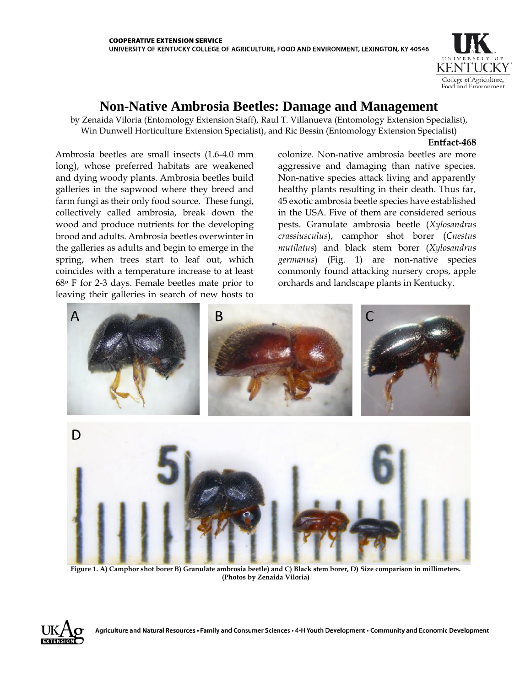

## **Non-Native Ambrosia Beetles: Damage and Management**

by Zenaida Viloria (Entomology Extension Staff), Raul T. Villanueva (Entomology Extension Specialist), Win Dunwell Horticulture Extension Specialist), and Ric Bessin (Entomology Extension Specialist)

## **Entfact-468**

Ambrosia beetles are small insects (1.6-4.0 mm long), whose preferred habitats are weakened and dying woody plants. Ambrosia beetles build galleries in the sapwood where they breed and farm fungi as their only food source. These fungi, collectively called ambrosia, break down the wood and produce nutrients for the developing brood and adults. Ambrosia beetles overwinter in the galleries as adults and begin to emerge in the spring, when trees start to leaf out, which coincides with a temperature increase to at least 68o F for 2-3 days. Female beetles mate prior to leaving their galleries in search of new hosts to

colonize. Non-native ambrosia beetles are more aggressive and damaging than native species. Non-native species attack living and apparently healthy plants resulting in their death. Thus far, 45 exotic ambrosia beetle species have established in the USA. Five of them are considered serious pests. Granulate ambrosia beetle (*Xylosandrus crassiusculus*), camphor shot borer (*Cnestus mutilatus*) and black stem borer (*Xylosandrus germanus*) (Fig. 1) are non-native species commonly found attacking nursery crops, apple orchards and landscape plants in Kentucky.



**Figure 1. A) Camphor shot borer B) Granulate ambrosia beetle) and C) Black stem borer, D) Size comparison in millimeters. (Photos by Zenaida Viloria)** 

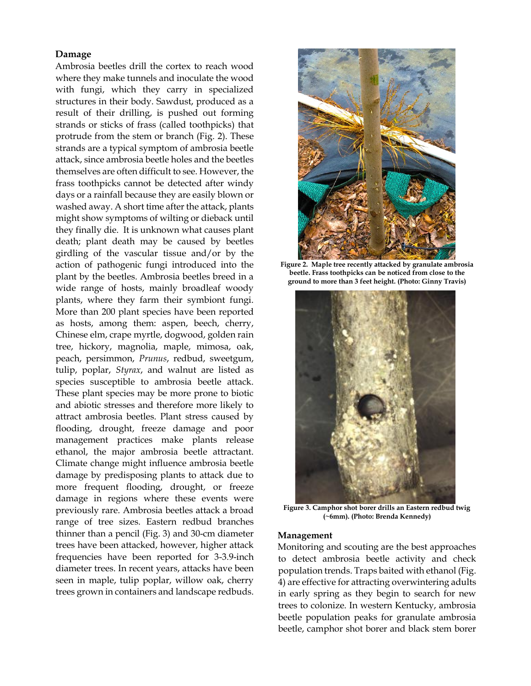## **Damage**

Ambrosia beetles drill the cortex to reach wood where they make tunnels and inoculate the wood with fungi, which they carry in specialized structures in their body. Sawdust, produced as a result of their drilling, is pushed out forming strands or sticks of frass (called toothpicks) that protrude from the stem or branch (Fig. 2). These strands are a typical symptom of ambrosia beetle attack, since ambrosia beetle holes and the beetles themselves are often difficult to see. However, the frass toothpicks cannot be detected after windy days or a rainfall because they are easily blown or washed away. A short time after the attack, plants might show symptoms of wilting or dieback until they finally die. It is unknown what causes plant death; plant death may be caused by beetles girdling of the vascular tissue and/or by the action of pathogenic fungi introduced into the plant by the beetles. Ambrosia beetles breed in a wide range of hosts, mainly broadleaf woody plants, where they farm their symbiont fungi. More than 200 plant species have been reported as hosts, among them: aspen, beech, cherry, Chinese elm, crape myrtle, dogwood, golden rain tree, hickory, magnolia, maple, mimosa, oak, peach, persimmon, *Prunus*, redbud, sweetgum, tulip, poplar, *Styrax*, and walnut are listed as species susceptible to ambrosia beetle attack. These plant species may be more prone to biotic and abiotic stresses and therefore more likely to attract ambrosia beetles. Plant stress caused by flooding, drought, freeze damage and poor management practices make plants release ethanol, the major ambrosia beetle attractant. Climate change might influence ambrosia beetle damage by predisposing plants to attack due to more frequent flooding, drought, or freeze damage in regions where these events were previously rare. Ambrosia beetles attack a broad range of tree sizes. Eastern redbud branches thinner than a pencil (Fig. 3) and 30-cm diameter trees have been attacked, however, higher attack frequencies have been reported for 3-3.9-inch diameter trees. In recent years, attacks have been seen in maple, tulip poplar, willow oak, cherry trees grown in containers and landscape redbuds.



**Figure 2. Maple tree recently attacked by granulate ambrosia beetle. Frass toothpicks can be noticed from close to the ground to more than 3 feet height. (Photo: Ginny Travis)**



**Figure 3. Camphor shot borer drills an Eastern redbud twig (~6mm). (Photo: Brenda Kennedy)**

## **Management**

Monitoring and scouting are the best approaches to detect ambrosia beetle activity and check population trends. Traps baited with ethanol (Fig. 4) are effective for attracting overwintering adults in early spring as they begin to search for new trees to colonize. In western Kentucky, ambrosia beetle population peaks for granulate ambrosia beetle, camphor shot borer and black stem borer